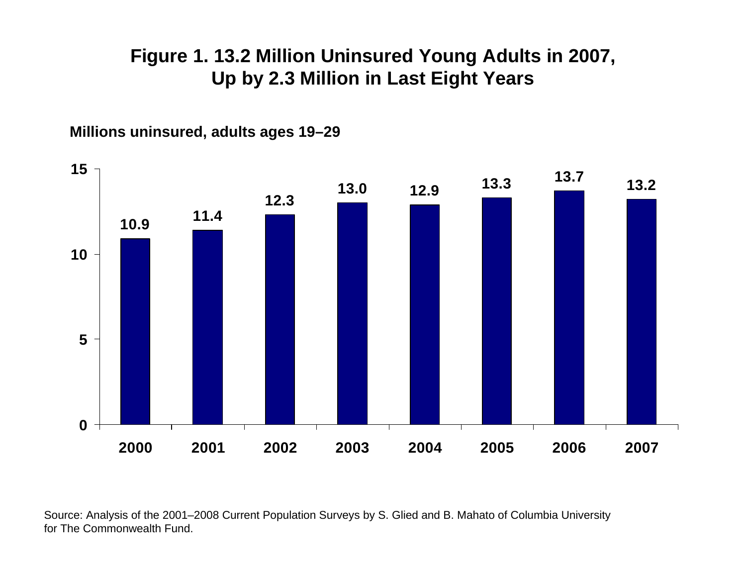### **Figure 1. 13.2 Million Uninsured Young Adults in 2007, Up by 2.3 Million in Last Eight Years**



**Millions uninsured, adults ages 19–29**

Source: Analysis of the 2001–2008 Current Population Surveys by S. Glied and B. Mahato of Columbia University for The Commonwealth Fund.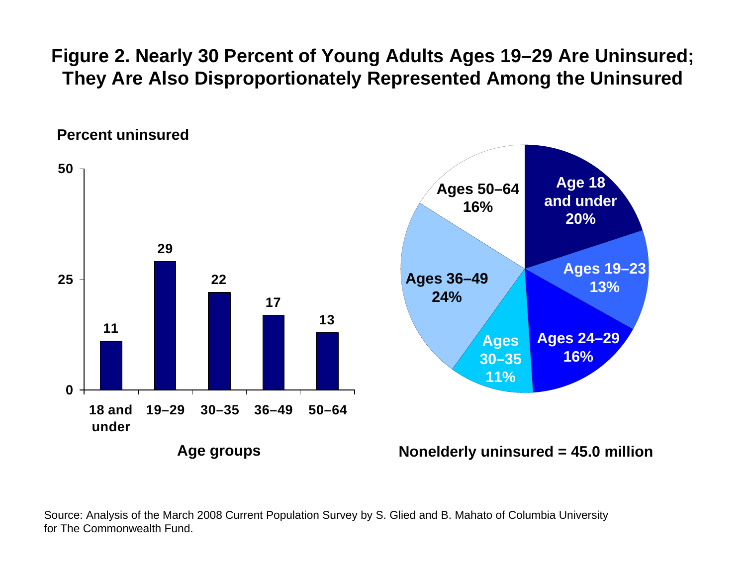**Figure 2. Nearly 30 Percent of Young Adults Ages 19–29 Are Uninsured; They Are Also Disproportionately Represented Among the Uninsured**



Source: Analysis of the March 2008 Current Population Survey by S. Glied and B. Mahato of Columbia University for The Commonwealth Fund.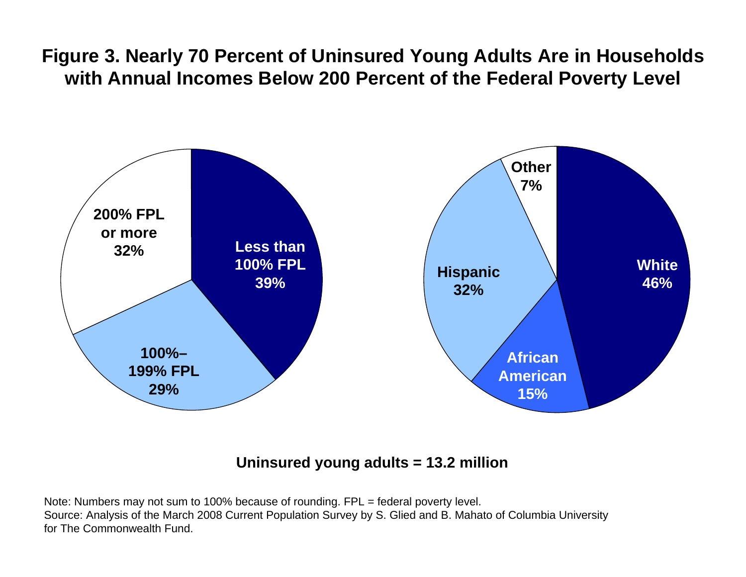**Figure 3. Nearly 70 Percent of Uninsured Young Adults Are in Households with Annual Incomes Below 200 Percent of the Federal Poverty Level**



#### **Uninsured young adults = 13.2 million**

Note: Numbers may not sum to 100% because of rounding. FPL = federal poverty level. Source: Analysis of the March 2008 Current Population Survey by S. Glied and B. Mahato of Columbia University for The Commonwealth Fund.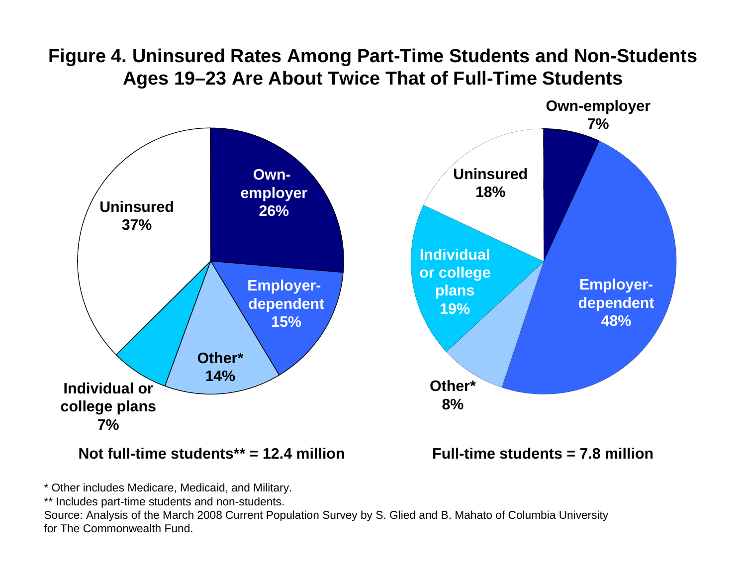# **Figure 4. Uninsured Rates Among Part-Time Students and Non-Students Ages 19–23 Are About Twice That of Full-Time Students**



#### **Not full-time students\*\* = 12.4 million**

**Full-time students = 7.8 million**

\* Other includes Medicare, Medicaid, and Military.

\*\* Includes part-time students and non-students.

Source: Analysis of the March 2008 Current Population Survey by S. Glied and B. Mahato of Columbia University for The Commonwealth Fund.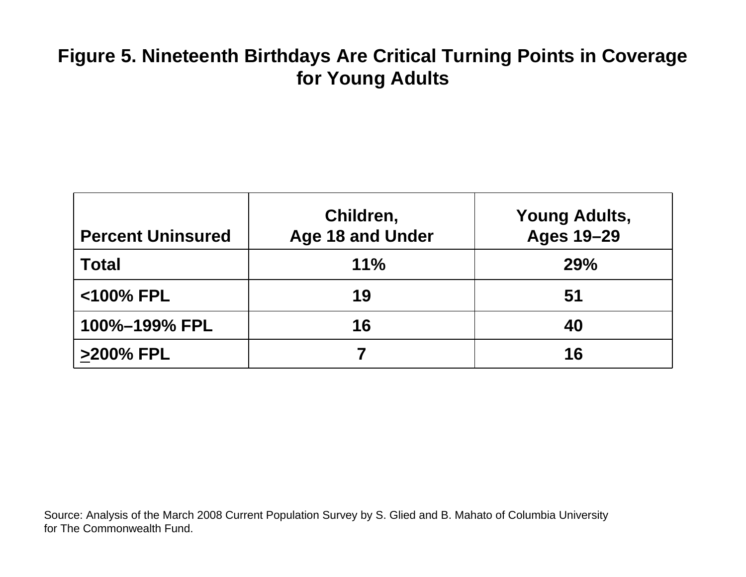# **Figure 5. Nineteenth Birthdays Are Critical Turning Points in Coverage for Young Adults**

| <b>Percent Uninsured</b> | Children,<br><b>Age 18 and Under</b> | <b>Young Adults,</b><br><b>Ages 19-29</b> |
|--------------------------|--------------------------------------|-------------------------------------------|
| <b>Total</b>             | 11%                                  | <b>29%</b>                                |
| <100% FPL                | 19                                   | 51                                        |
| 100%-199% FPL            | 16                                   | 40                                        |
| >200% FPL                |                                      | 16                                        |

Source: Analysis of the March 2008 Current Population Survey by S. Glied and B. Mahato of Columbia University for The Commonwealth Fund.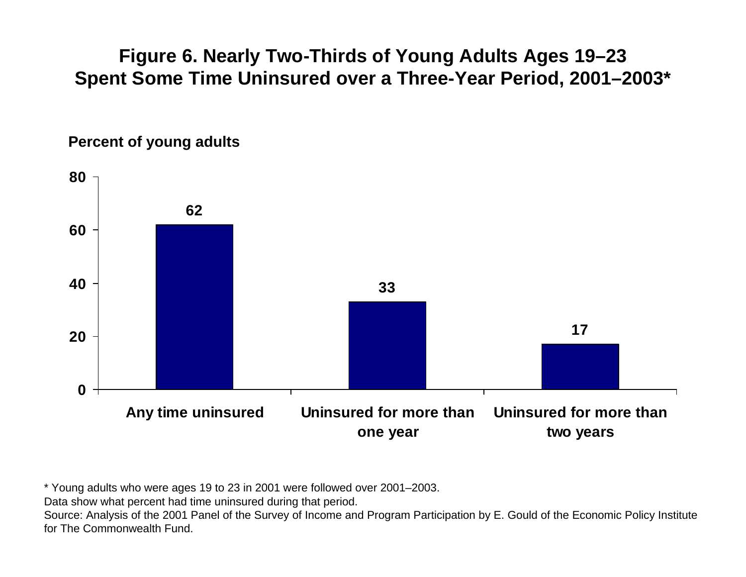## **Figure 6. Nearly Two-Thirds of Young Adults Ages 19–23 Spent Some Time Uninsured over a Three-Year Period, 2001–2003\***





\* Young adults who were ages 19 to 23 in 2001 were followed over 2001–2003.

Data show what percent had time uninsured during that period.

Source: Analysis of the 2001 Panel of the Survey of Income and Program Participation by E. Gould of the Economic Policy Institute for The Commonwealth Fund.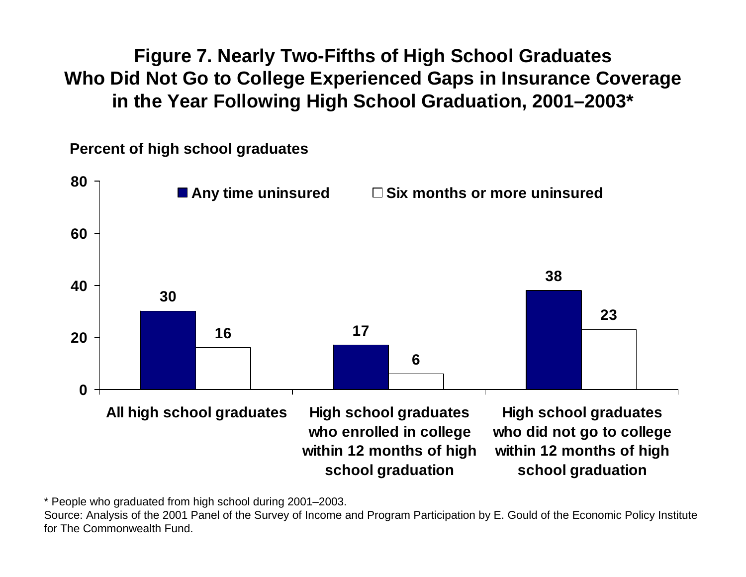**Figure 7. Nearly Two-Fifths of High School Graduates Who Did Not Go to College Experienced Gaps in Insurance Coverage in the Year Following High School Graduation, 2001–2003\***

**Percent of high school graduates**



\* People who graduated from high school during 2001–2003.

Source: Analysis of the 2001 Panel of the Survey of Income and Program Participation by E. Gould of the Economic Policy Institute for The Commonwealth Fund.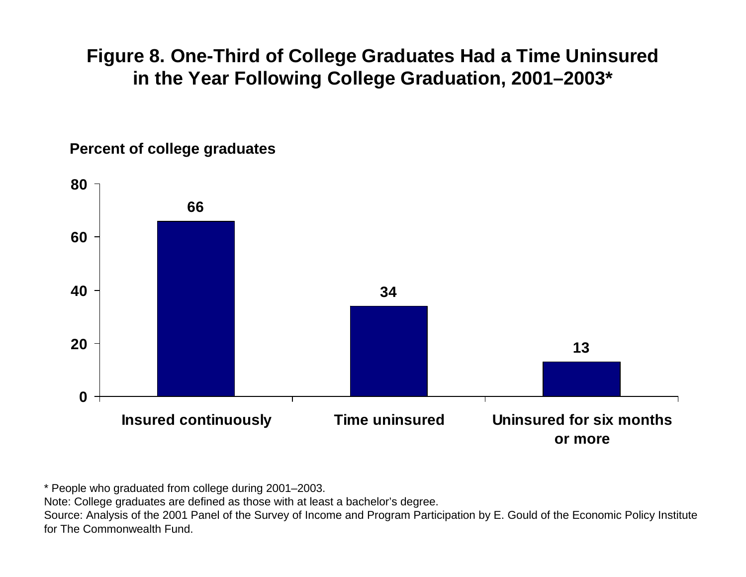#### **Figure 8. One-Third of College Graduates Had a Time Uninsured in the Year Following College Graduation, 2001–2003\***



**Percent of college graduates**

\* People who graduated from college during 2001–2003.

Note: College graduates are defined as those with at least a bachelor's degree.

Source: Analysis of the 2001 Panel of the Survey of Income and Program Participation by E. Gould of the Economic Policy Institute for The Commonwealth Fund.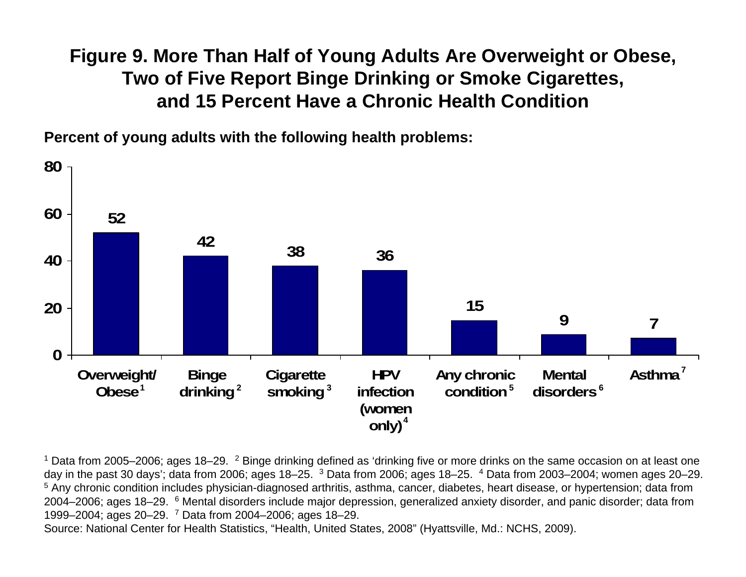## **Figure 9. More Than Half of Young Adults Are Overweight or Obese, Two of Five Report Binge Drinking or Smoke Cigarettes, and 15 Percent Have a Chronic Health Condition**

**Percent of young adults with the following health problems:**



<sup>1</sup> Data from 2005–2006; ages 18–29. <sup>2</sup> Binge drinking defined as 'drinking five or more drinks on the same occasion on at least one day in the past 30 days'; data from 2006; ages 18–25.  $3$  Data from 2006; ages 18–25.  $4$  Data from 2003–2004; women ages 20–29. <sup>5</sup> Any chronic condition includes physician-diagnosed arthritis, asthma, cancer, diabetes, heart disease, or hypertension; data from 2004–2006; ages 18–29. <sup>6</sup> Mental disorders include major depression, generalized anxiety disorder, and panic disorder; data from 1999–2004; ages 20–29. 7 Data from 2004–2006; ages 18–29.

Source: National Center for Health Statistics, "Health, United States, 2008" (Hyattsville, Md.: NCHS, 2009).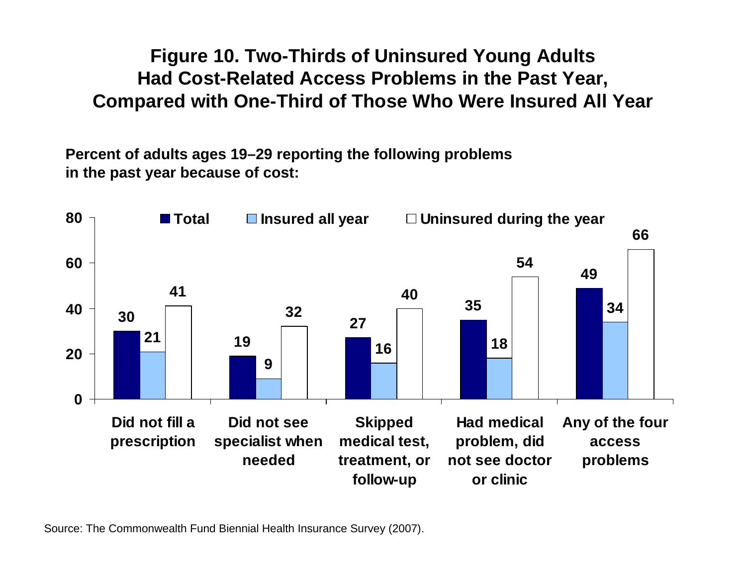**Figure 10. Two-Thirds of Uninsured Young Adults Had Cost-Related Access Problems in the Past Year, Compared with One-Third of Those Who Were Insured All Year**

**Percent of adults ages 19–29 reporting the following problems in the past year because of cost:**



Source: The Commonwealth Fund Biennial Health Insurance Survey (2007).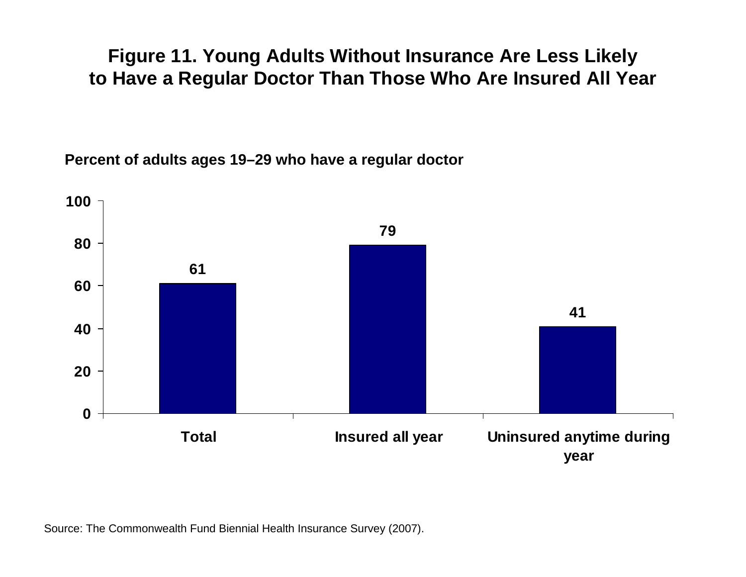#### **Figure 11. Young Adults Without Insurance Are Less Likely to Have a Regular Doctor Than Those Who Are Insured All Year**

**Percent of adults ages 19–29 who have a regular doctor**



Source: The Commonwealth Fund Biennial Health Insurance Survey (2007).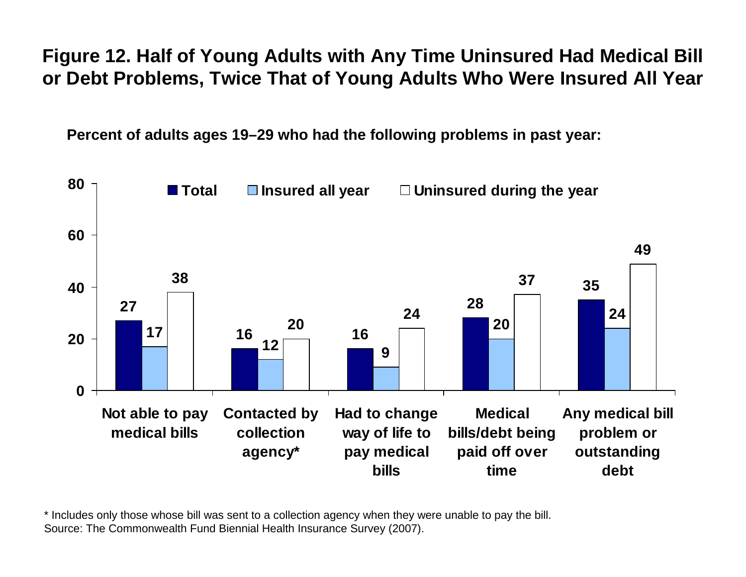## **Figure 12. Half of Young Adults with Any Time Uninsured Had Medical Bill or Debt Problems, Twice That of Young Adults Who Were Insured All Year**

**Percent of adults ages 19–29 who had the following problems in past year:**



\* Includes only those whose bill was sent to a collection agency when they were unable to pay the bill. Source: The Commonwealth Fund Biennial Health Insurance Survey (2007).